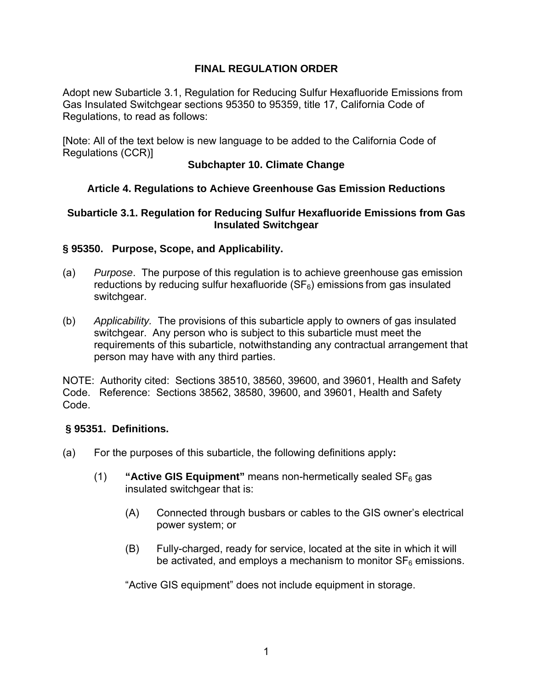# **FINAL REGULATION ORDER**

Adopt new Subarticle 3.1, Regulation for Reducing Sulfur Hexafluoride Emissions from Gas Insulated Switchgear sections 95350 to 95359, title 17, California Code of Regulations, to read as follows:

[Note: All of the text below is new language to be added to the California Code of Regulations (CCR)]

## **Subchapter 10. Climate Change**

# **Article 4. Regulations to Achieve Greenhouse Gas Emission Reductions**

## **Subarticle 3.1. Regulation for Reducing Sulfur Hexafluoride Emissions from Gas Insulated Switchgear**

## **§ 95350. Purpose, Scope, and Applicability.**

- (a) *Purpose*. The purpose of this regulation is to achieve greenhouse gas emission reductions by reducing sulfur hexafluoride  $(SF_6)$  emissions from gas insulated switchgear.
- (b) *Applicability.* The provisions of this subarticle apply to owners of gas insulated switchgear. Any person who is subject to this subarticle must meet the requirements of this subarticle, notwithstanding any contractual arrangement that person may have with any third parties.

NOTE: Authority cited: Sections 38510, 38560, 39600, and 39601, Health and Safety Code. Reference: Sections 38562, 38580, 39600, and 39601, Health and Safety Code.

#### **§ 95351. Definitions.**

- (a) For the purposes of this subarticle, the following definitions apply**:** 
	- (1) **"Active GIS Equipment"** means non-hermetically sealed SF6 gas insulated switchgear that is:
		- (A) Connected through busbars or cables to the GIS owner's electrical power system; or
		- (B) Fully-charged, ready for service, located at the site in which it will be activated, and employs a mechanism to monitor  $SF_6$  emissions.

"Active GIS equipment" does not include equipment in storage.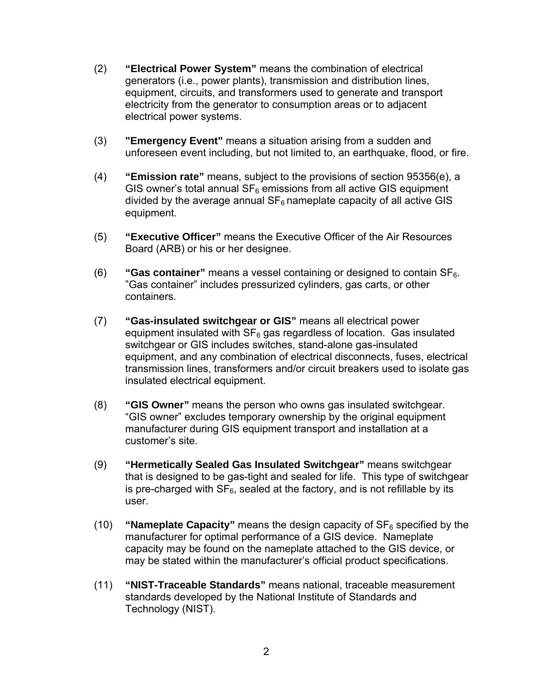- (2) **"Electrical Power System"** means the combination of electrical generators (i.e., power plants), transmission and distribution lines, equipment, circuits, and transformers used to generate and transport electricity from the generator to consumption areas or to adjacent electrical power systems.
- (3) **"Emergency Event"** means a situation arising from a sudden and unforeseen event including, but not limited to, an earthquake, flood, or fire.
- (4) **"Emission rate"** means, subject to the provisions of section 95356(e), a GIS owner's total annual  $SF_6$  emissions from all active GIS equipment divided by the average annual  $SF_6$  nameplate capacity of all active GIS equipment.
- (5) **"Executive Officer"** means the Executive Officer of the Air Resources Board (ARB) or his or her designee.
- (6) **"Gas container"** means a vessel containing or designed to contain SF6. "Gas container" includes pressurized cylinders, gas carts, or other containers.
- (7) **"Gas-insulated switchgear or GIS"** means all electrical power equipment insulated with  $SF_6$  gas regardless of location. Gas insulated switchgear or GIS includes switches, stand-alone gas-insulated equipment, and any combination of electrical disconnects, fuses, electrical transmission lines, transformers and/or circuit breakers used to isolate gas insulated electrical equipment.
- (8) **"GIS Owner"** means the person who owns gas insulated switchgear. "GIS owner" excludes temporary ownership by the original equipment manufacturer during GIS equipment transport and installation at a customer's site.
- (9) **"Hermetically Sealed Gas Insulated Switchgear"** means switchgear that is designed to be gas-tight and sealed for life. This type of switchgear is pre-charged with  $SF_6$ , sealed at the factory, and is not refillable by its user.
- (10) **"Nameplate Capacity"** means the design capacity of  $SF<sub>6</sub>$  specified by the manufacturer for optimal performance of a GIS device. Nameplate capacity may be found on the nameplate attached to the GIS device, or may be stated within the manufacturer's official product specifications.
- (11) **"NIST-Traceable Standards"** means national, traceable measurement standards developed by the National Institute of Standards and Technology (NIST).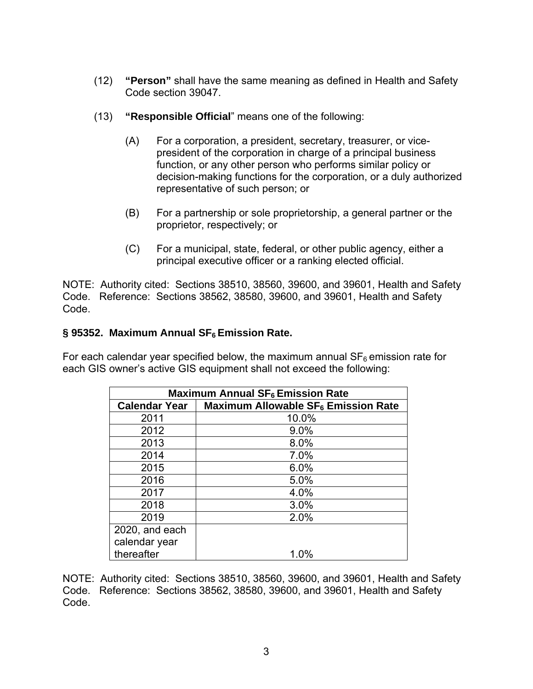- (12) **"Person"** shall have the same meaning as defined in Health and Safety Code section 39047.
- (13) **"Responsible Official**" means one of the following:
	- (A) For a corporation, a president, secretary, treasurer, or vicepresident of the corporation in charge of a principal business function, or any other person who performs similar policy or decision-making functions for the corporation, or a duly authorized representative of such person; or
	- (B) For a partnership or sole proprietorship, a general partner or the proprietor, respectively; or
	- (C) For a municipal, state, federal, or other public agency, either a principal executive officer or a ranking elected official.

NOTE: Authority cited: Sections 38510, 38560, 39600, and 39601, Health and Safety Code. Reference: Sections 38562, 38580, 39600, and 39601, Health and Safety Code.

## § 95352. Maximum Annual SF<sub>6</sub> Emission Rate.

For each calendar year specified below, the maximum annual  $SF<sub>6</sub>$  emission rate for each GIS owner's active GIS equipment shall not exceed the following:

| <b>Maximum Annual SF<sub>6</sub> Emission Rate</b> |                                                 |
|----------------------------------------------------|-------------------------------------------------|
| <b>Calendar Year</b>                               | Maximum Allowable SF <sub>6</sub> Emission Rate |
| 2011                                               | 10.0%                                           |
| 2012                                               | 9.0%                                            |
| 2013                                               | 8.0%                                            |
| 2014                                               | 7.0%                                            |
| 2015                                               | 6.0%                                            |
| 2016                                               | 5.0%                                            |
| 2017                                               | 4.0%                                            |
| 2018                                               | 3.0%                                            |
| 2019                                               | 2.0%                                            |
| 2020, and each                                     |                                                 |
| calendar year                                      |                                                 |
| thereafter                                         | 1.0%                                            |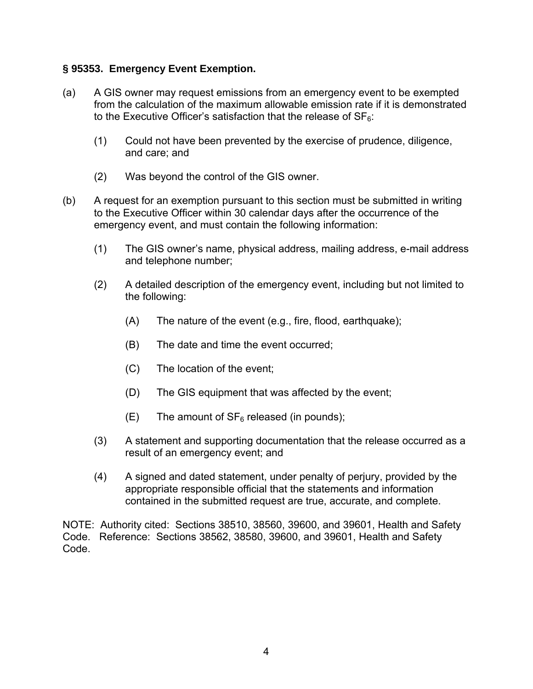## **§ 95353. Emergency Event Exemption.**

- (a) A GIS owner may request emissions from an emergency event to be exempted from the calculation of the maximum allowable emission rate if it is demonstrated to the Executive Officer's satisfaction that the release of  $SF<sub>6</sub>$ :
	- (1) Could not have been prevented by the exercise of prudence, diligence, and care; and
	- (2) Was beyond the control of the GIS owner.
- (b) A request for an exemption pursuant to this section must be submitted in writing to the Executive Officer within 30 calendar days after the occurrence of the emergency event, and must contain the following information:
	- (1) The GIS owner's name, physical address, mailing address, e-mail address and telephone number;
	- (2) A detailed description of the emergency event, including but not limited to the following:
		- (A) The nature of the event (e.g., fire, flood, earthquake);
		- (B) The date and time the event occurred;
		- (C) The location of the event;
		- (D) The GIS equipment that was affected by the event;
		- $(E)$  The amount of  $SF<sub>6</sub>$  released (in pounds);
	- (3) A statement and supporting documentation that the release occurred as a result of an emergency event; and
	- (4) A signed and dated statement, under penalty of perjury, provided by the appropriate responsible official that the statements and information contained in the submitted request are true, accurate, and complete.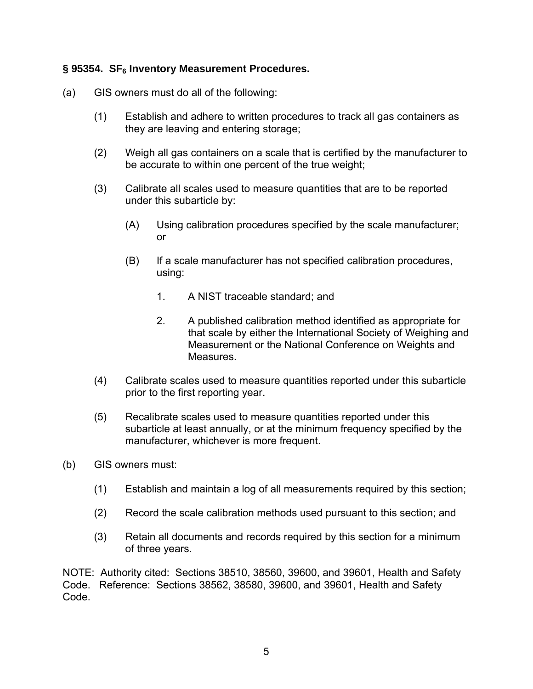## § 95354. SF<sub>6</sub> Inventory Measurement Procedures.

- (a) GIS owners must do all of the following:
	- (1) Establish and adhere to written procedures to track all gas containers as they are leaving and entering storage;
	- (2) Weigh all gas containers on a scale that is certified by the manufacturer to be accurate to within one percent of the true weight;
	- (3) Calibrate all scales used to measure quantities that are to be reported under this subarticle by:
		- (A) Using calibration procedures specified by the scale manufacturer; or
		- (B) If a scale manufacturer has not specified calibration procedures, using:
			- 1. A NIST traceable standard; and
			- 2. A published calibration method identified as appropriate for that scale by either the International Society of Weighing and Measurement or the National Conference on Weights and Measures.
	- (4) Calibrate scales used to measure quantities reported under this subarticle prior to the first reporting year.
	- (5) Recalibrate scales used to measure quantities reported under this subarticle at least annually, or at the minimum frequency specified by the manufacturer, whichever is more frequent.
- (b) GIS owners must:
	- (1) Establish and maintain a log of all measurements required by this section;
	- (2) Record the scale calibration methods used pursuant to this section; and
	- (3) Retain all documents and records required by this section for a minimum of three years.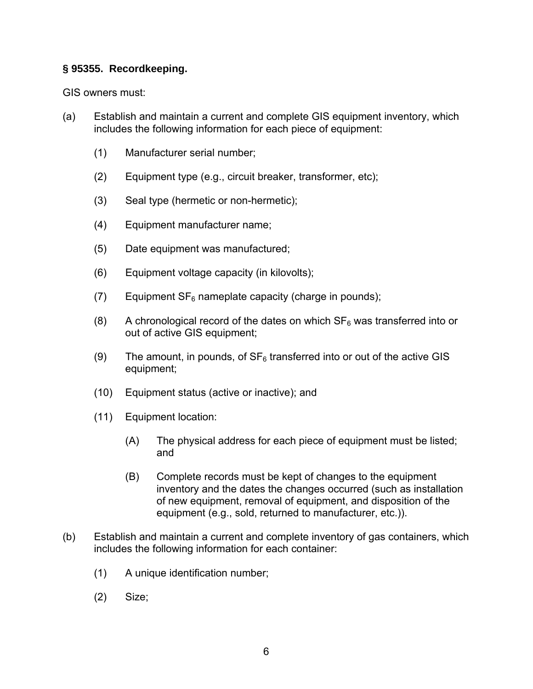# **§ 95355. Recordkeeping.**

GIS owners must:

- (a) Establish and maintain a current and complete GIS equipment inventory, which includes the following information for each piece of equipment:
	- (1) Manufacturer serial number;
	- (2) Equipment type (e.g., circuit breaker, transformer, etc);
	- (3) Seal type (hermetic or non-hermetic);
	- (4) Equipment manufacturer name;
	- (5) Date equipment was manufactured;
	- (6) Equipment voltage capacity (in kilovolts);
	- (7) Equipment  $SF_6$  nameplate capacity (charge in pounds);
	- (8) A chronological record of the dates on which  $SF<sub>6</sub>$  was transferred into or out of active GIS equipment;
	- (9) The amount, in pounds, of  $SF_6$  transferred into or out of the active GIS equipment;
	- (10) Equipment status (active or inactive); and
	- (11) Equipment location:
		- (A) The physical address for each piece of equipment must be listed; and
		- (B) Complete records must be kept of changes to the equipment inventory and the dates the changes occurred (such as installation of new equipment, removal of equipment, and disposition of the equipment (e.g., sold, returned to manufacturer, etc.)).
- (b) Establish and maintain a current and complete inventory of gas containers, which includes the following information for each container:
	- (1) A unique identification number;
	- (2) Size;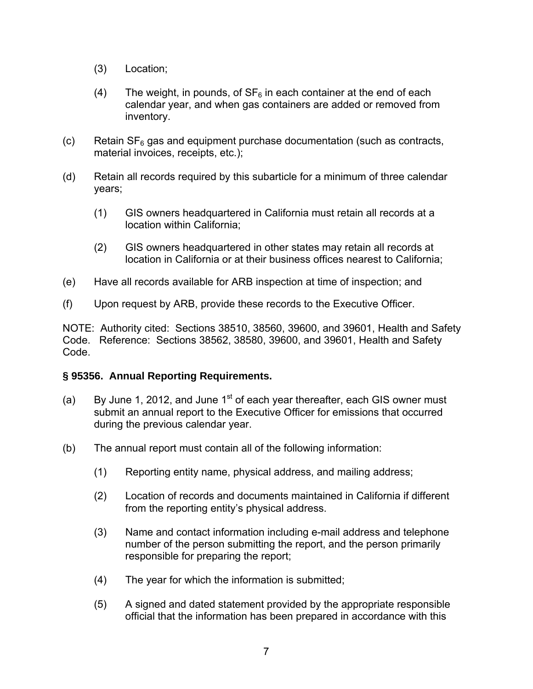- (3) Location;
- (4) The weight, in pounds, of  $SF_6$  in each container at the end of each calendar year, and when gas containers are added or removed from inventory.
- (c) Retain  $SF_6$  gas and equipment purchase documentation (such as contracts, material invoices, receipts, etc.);
- (d) Retain all records required by this subarticle for a minimum of three calendar years;
	- (1) GIS owners headquartered in California must retain all records at a location within California;
	- (2) GIS owners headquartered in other states may retain all records at location in California or at their business offices nearest to California;
- (e) Have all records available for ARB inspection at time of inspection; and
- (f) Upon request by ARB, provide these records to the Executive Officer.

NOTE: Authority cited: Sections 38510, 38560, 39600, and 39601, Health and Safety Code. Reference: Sections 38562, 38580, 39600, and 39601, Health and Safety Code.

#### **§ 95356. Annual Reporting Requirements.**

- (a) By June 1, 2012, and June  $1<sup>st</sup>$  of each year thereafter, each GIS owner must submit an annual report to the Executive Officer for emissions that occurred during the previous calendar year.
- (b) The annual report must contain all of the following information:
	- (1) Reporting entity name, physical address, and mailing address;
	- (2) Location of records and documents maintained in California if different from the reporting entity's physical address.
	- (3) Name and contact information including e-mail address and telephone number of the person submitting the report, and the person primarily responsible for preparing the report;
	- (4) The year for which the information is submitted;
	- (5) A signed and dated statement provided by the appropriate responsible official that the information has been prepared in accordance with this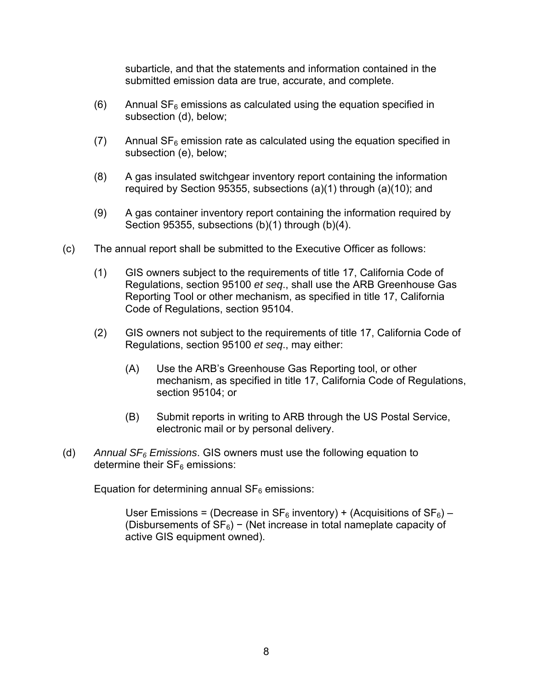subarticle, and that the statements and information contained in the submitted emission data are true, accurate, and complete.

- (6) Annual  $SF_6$  emissions as calculated using the equation specified in subsection (d), below;
- (7) Annual  $SF_6$  emission rate as calculated using the equation specified in subsection (e), below;
- (8) A gas insulated switchgear inventory report containing the information required by Section 95355, subsections (a)(1) through (a)(10); and
- (9) A gas container inventory report containing the information required by Section 95355, subsections (b)(1) through (b)(4).
- (c) The annual report shall be submitted to the Executive Officer as follows:
	- (1) GIS owners subject to the requirements of title 17, California Code of Regulations, section 95100 *et seq*., shall use the ARB Greenhouse Gas Reporting Tool or other mechanism, as specified in title 17, California Code of Regulations, section 95104.
	- (2) GIS owners not subject to the requirements of title 17, California Code of Regulations, section 95100 *et seq*., may either:
		- (A) Use the ARB's Greenhouse Gas Reporting tool, or other mechanism, as specified in title 17, California Code of Regulations, section 95104; or
		- (B) Submit reports in writing to ARB through the US Postal Service, electronic mail or by personal delivery.
- (d) *Annual SF6 Emissions*. GIS owners must use the following equation to determine their  $SF<sub>6</sub>$  emissions:

Equation for determining annual  $SF<sub>6</sub>$  emissions:

User Emissions = (Decrease in  $SF_6$  inventory) + (Acquisitions of  $SF_6$ ) – (Disbursements of  $SF_6$ ) – (Net increase in total nameplate capacity of active GIS equipment owned).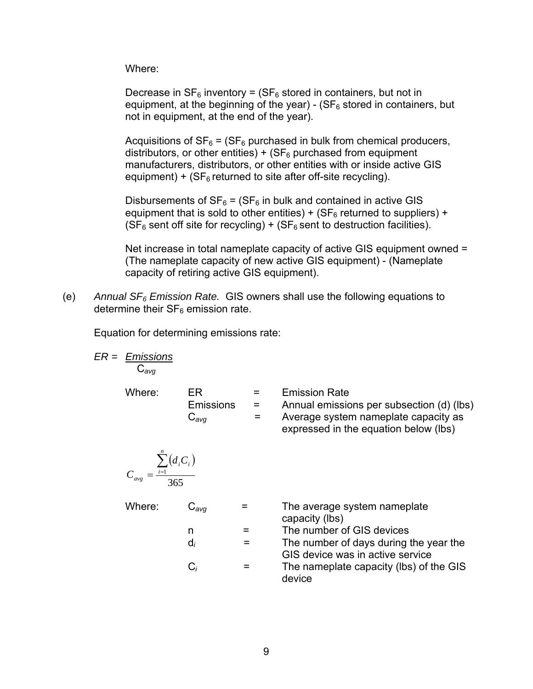Where:

Decrease in  $SF_6$  inventory = ( $SF_6$  stored in containers, but not in equipment, at the beginning of the year) - ( $SF<sub>6</sub>$  stored in containers, but not in equipment, at the end of the year).

Acquisitions of  $SF_6 = (SF_6$  purchased in bulk from chemical producers, distributors, or other entities) +  $(SF_6$  purchased from equipment manufacturers, distributors, or other entities with or inside active GIS equipment) + ( $SF<sub>6</sub>$  returned to site after off-site recycling).

Disbursements of  $SF_6 = (SF_6)$  in bulk and contained in active GIS equipment that is sold to other entities) + ( $SF<sub>6</sub>$  returned to suppliers) +  $(SF_6$  sent off site for recycling) +  $(SF_6$  sent to destruction facilities).

Net increase in total nameplate capacity of active GIS equipment owned = (The nameplate capacity of new active GIS equipment) - (Nameplate capacity of retiring active GIS equipment).

(e) *Annual SF6 Emission Rate.* GIS owners shall use the following equations to determine their  $SF<sub>6</sub>$  emission rate.

Equation for determining emissions rate:

$$
ER = \underbrace{Emissions}_{C_{avg}}
$$

Where:  $ER = E$  Emission Rate Emissions = Annual emissions per subsection (d) (lbs) C*avg* = Average system nameplate capacity as

expressed in the equation below (lbs)

$$
C_{avg} = \frac{\sum_{i=1}^{n} (d_i C_i)}{365}
$$

Where: C<sub>avg</sub> = The average system nameplate capacity (lbs)

- n = The number of GIS devices
- $d_i$  = The number of days during the year the GIS device was in active service
- $C_i$  = The nameplate capacity (lbs) of the GIS device